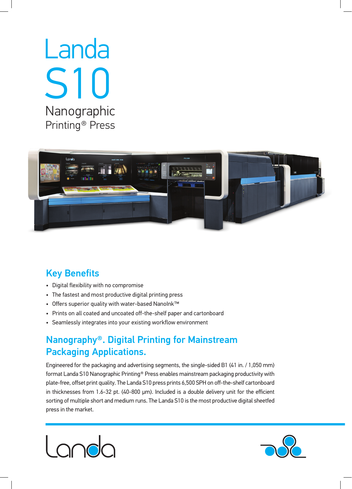# Landa **S10**  Nanographic Printing<sup>®</sup> Press



## **Key Benefits**

- Digital flexibility with no compromise
- The fastest and most productive digital printing press
- Offers superior quality with water-based Nanolnk™
- Prints on all coated and uncoated off-the-shelf paper and cartonboard
- Seamlessly integrates into your existing workflow environment

### Nanography®. Digital Printing for Mainstream Packaging Applications.

Engineered for the packaging and advertising segments, the single-sided B1 (41 in. / 1,050 mm) format Landa S10 Nanographic Printing® Press enables mainstream packaging productivity with plate-free, offset print quality. The Landa S10 press prints 6,500 SPH on off-the-shelf cartonboard in thicknesses from 1.6-32 pt. (40-800 μm). Included is a double delivery unit for the efficient sorting of multiple short and medium runs. The Landa S10 is the most productive digital sheetfed press in the market.